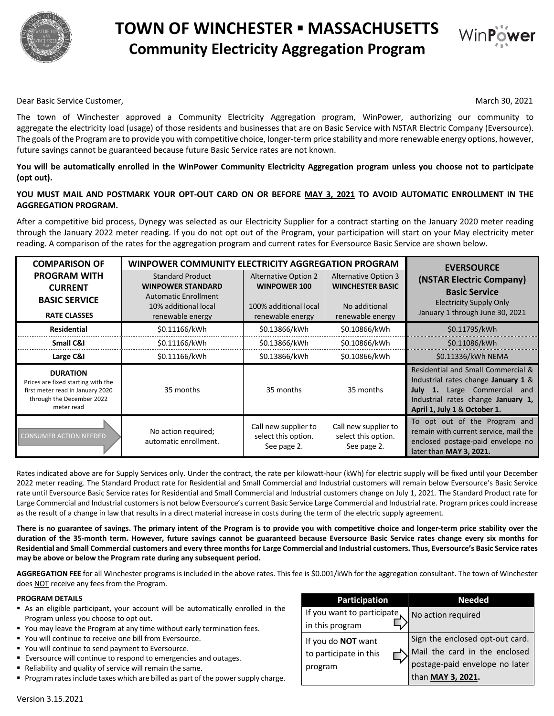

# **TOWN OF WINCHESTER ▪ MASSACHUSETTS Community Electricity Aggregation Program**



Dear Basic Service Customer, March 30, 2021

The town of Winchester approved a Community Electricity Aggregation program, WinPower, authorizing our community to aggregate the electricity load (usage) of those residents and businesses that are on Basic Service with NSTAR Electric Company (Eversource). The goals of the Program are to provide you with competitive choice, longer-term price stability and more renewable energy options, however, future savings cannot be guaranteed because future Basic Service rates are not known.

# **You will be automatically enrolled in the WinPower Community Electricity Aggregation program unless you choose not to participate (opt out).**

# **YOU MUST MAIL AND POSTMARK YOUR OPT-OUT CARD ON OR BEFORE MAY 3, 2021 TO AVOID AUTOMATIC ENROLLMENT IN THE AGGREGATION PROGRAM.**

After a competitive bid process, Dynegy was selected as our Electricity Supplier for a contract starting on the January 2020 meter reading through the January 2022 meter reading. If you do not opt out of the Program, your participation will start on your May electricity meter reading. A comparison of the rates for the aggregation program and current rates for Eversource Basic Service are shown below.

| <b>COMPARISON OF</b>                                                                                                                 | WINPOWER COMMUNITY ELECTRICITY AGGREGATION PROGRAM                                 |                                                            |                                                            | <b>EVERSOURCE</b>                                                                                                                                                                  |
|--------------------------------------------------------------------------------------------------------------------------------------|------------------------------------------------------------------------------------|------------------------------------------------------------|------------------------------------------------------------|------------------------------------------------------------------------------------------------------------------------------------------------------------------------------------|
| <b>PROGRAM WITH</b><br><b>CURRENT</b>                                                                                                | <b>Standard Product</b><br><b>WINPOWER STANDARD</b><br><b>Automatic Enrollment</b> | <b>Alternative Option 2</b><br><b>WINPOWER 100</b>         | <b>Alternative Option 3</b><br><b>WINCHESTER BASIC</b>     | (NSTAR Electric Company)<br><b>Basic Service</b>                                                                                                                                   |
| <b>BASIC SERVICE</b><br><b>RATE CLASSES</b>                                                                                          | 10% additional local<br>renewable energy                                           | 100% additional local<br>renewable energy                  | No additional<br>renewable energy                          | <b>Electricity Supply Only</b><br>January 1 through June 30, 2021                                                                                                                  |
| <b>Residential</b>                                                                                                                   | \$0.11166/kWh                                                                      | \$0.13866/kWh                                              | \$0.10866/kWh                                              | \$0.11795/kWh                                                                                                                                                                      |
| Small C&I                                                                                                                            | \$0.11166/kWh                                                                      | \$0.13866/kWh                                              | \$0.10866/kWh                                              | \$0.11086/kWh                                                                                                                                                                      |
| Large C&I                                                                                                                            | \$0.11166/kWh                                                                      | \$0.13866/kWh                                              | \$0.10866/kWh                                              | \$0.11336/kWh NEMA                                                                                                                                                                 |
| <b>DURATION</b><br>Prices are fixed starting with the<br>first meter read in January 2020<br>through the December 2022<br>meter read | 35 months                                                                          | 35 months                                                  | 35 months                                                  | Residential and Small Commercial &<br>Industrial rates change January 1 &<br>July 1. Large Commercial<br>and<br>Industrial rates change January 1,<br>April 1, July 1 & October 1. |
| <b>CONSUMER ACTION NEEDED</b>                                                                                                        | No action required;<br>automatic enrollment.                                       | Call new supplier to<br>select this option.<br>See page 2. | Call new supplier to<br>select this option.<br>See page 2. | To opt out of the Program and<br>remain with current service, mail the<br>enclosed postage-paid envelope no<br>later than MAY 3, 2021.                                             |

Rates indicated above are for Supply Services only. Under the contract, the rate per kilowatt-hour (kWh) for electric supply will be fixed until your December 2022 meter reading. The Standard Product rate for Residential and Small Commercial and Industrial customers will remain below Eversource's Basic Service rate until Eversource Basic Service rates for Residential and Small Commercial and Industrial customers change on July 1, 2021. The Standard Product rate for Large Commercial and Industrial customers is not below Eversource's current Basic Service Large Commercial and Industrial rate. Program prices could increase as the result of a change in law that results in a direct material increase in costs during the term of the electric supply agreement.

**There is no guarantee of savings. The primary intent of the Program is to provide you with competitive choice and longer-term price stability over the duration of the 35-month term. However, future savings cannot be guaranteed because Eversource Basic Service rates change every six months for Residential and Small Commercial customers and every three months for Large Commercial and Industrial customers. Thus, Eversource's Basic Service rates may be above or below the Program rate during any subsequent period.**

**AGGREGATION FEE** for all Winchester programs is included in the above rates. This fee is \$0.001/kWh for the aggregation consultant. The town of Winchester does NOT receive any fees from the Program.

#### **PROGRAM DETAILS**

- § As an eligible participant, your account will be automatically enrolled in the Program unless you choose to opt out.
- You may leave the Program at any time without early termination fees.
- You will continue to receive one bill from Eversource.
- You will continue to send payment to Eversource.
- Eversource will continue to respond to emergencies and outages.
- Reliability and quality of service will remain the same.
- § Program rates include taxes which are billed as part of the power supply charge.

| <b>Participation</b>                                    | <b>Needed</b>                                                                                                           |  |  |
|---------------------------------------------------------|-------------------------------------------------------------------------------------------------------------------------|--|--|
| If you want to participate<br>in this program           | No action required                                                                                                      |  |  |
| If you do NOT want<br>to participate in this<br>program | Sign the enclosed opt-out card.<br>Mail the card in the enclosed<br>postage-paid envelope no later<br>than MAY 3, 2021. |  |  |